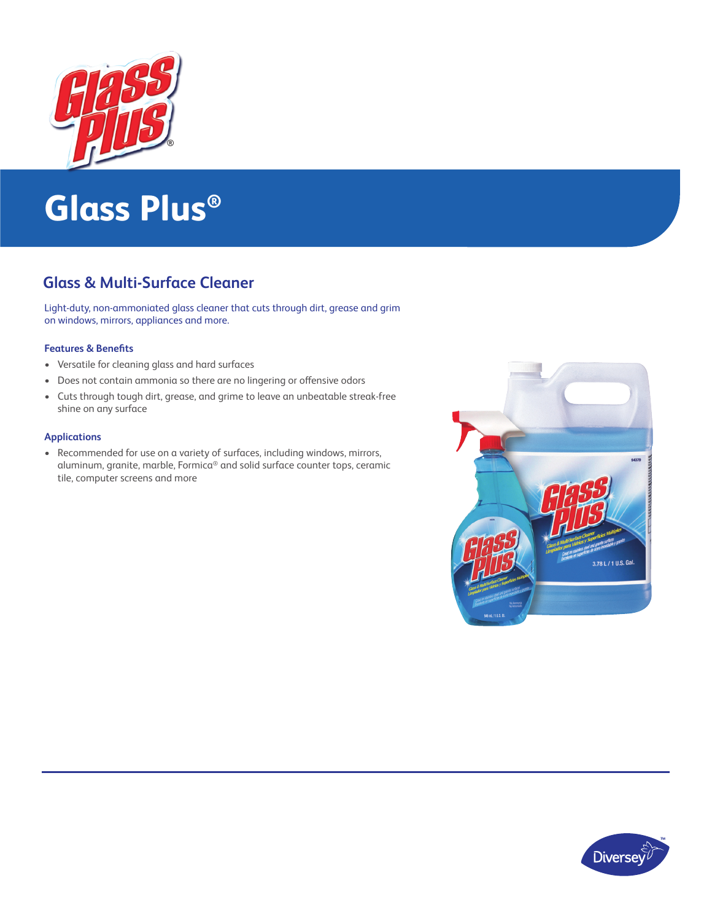

# **Glass Plus®**

## **Glass & Multi-Surface Cleaner**

Light-duty, non-ammoniated glass cleaner that cuts through dirt, grease and grim on windows, mirrors, appliances and more.

### **Features & Benefits**

- Versatile for cleaning glass and hard surfaces
- Does not contain ammonia so there are no lingering or offensive odors
- Cuts through tough dirt, grease, and grime to leave an unbeatable streak-free shine on any surface

### **Applications**

• Recommended for use on a variety of surfaces, including windows, mirrors, aluminum, granite, marble, Formica® and solid surface counter tops, ceramic tile, computer screens and more